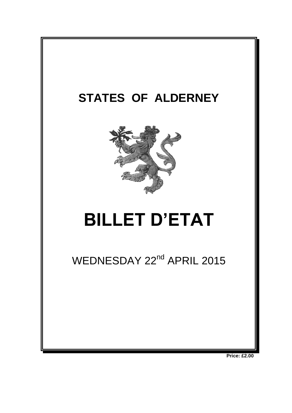

**Price: £2.00**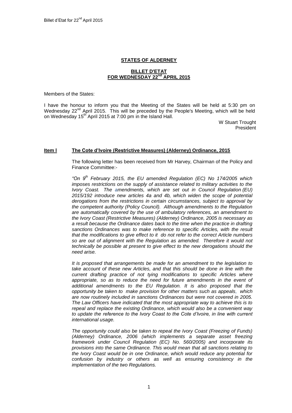# **STATES OF ALDERNEY**

## **BILLET D'ETAT FOR WEDNESDAY 22nd APRIL 2015**

Members of the States:

I have the honour to inform you that the Meeting of the States will be held at 5:30 pm on Wednesday  $22^{nd}$  April 2015. This will be preceded by the People's Meeting, which will be held on Wednesday 15<sup>th</sup> April 2015 at 7:00 pm in the Island Hall.

> W Stuart Trought President

#### **Item l The Cote d'Ivoire (Restrictive Measures) (Alderney) Ordinance, 2015**

The following letter has been received from Mr Harvey, Chairman of the Policy and Finance Committee:-

*"On 9th February 2015, the EU amended Regulation (EC) No 174/2005 which imposes restrictions on the supply of assistance related to military activities to the Ivory Coast. The amendments, which are set out in Council Regulation (EU) 2015/192 introduce new articles 4a and 4b, which widen the scope of potential derogations from the restrictions in certain circumstances, subject to approval by the competent authority (Policy Council). Although amendments to the Regulation are automatically covered by the use of ambulatory references, an amendment to the Ivory Coast (Restrictive Measures) (Alderney) Ordinance, 2005 is necessary as a result because the Ordinance dates back to the time when the practice in drafting sanctions Ordinances was to make reference to specific Articles, with the result that the modifications to give effect to it do not refer to the correct Article numbers*  so are out of alignment with the Regulation as amended. Therefore it would not *technically be possible at present to give effect to the new derogations should the need arise.*

*It is proposed that arrangements be made for an amendment to the legislation to take account of these new Articles, and that this should be done in line with the current drafting practice of not tying modifications to specific Articles where*  appropriate, so as to reduce the need for future amendments in the event of *additional amendments to the EU Regulation. It is also proposed that the opportunity be taken to make provision for other matters such as appeals, which are now routinely included in sanctions Ordinances but were not covered in 2005. The Law Officers have indicated that the most appropriate way to achieve this is to repeal and replace the existing Ordinance, which would also be a convenient way to update the reference to the Ivory Coast to the Cote d'Ivoire, in line with current international usage.* 

*The opportunity could also be taken to repeal the Ivory Coast (Freezing of Funds) (Alderney) Ordinance, 2006 (which implements a separate asset freezing framework under Council Regulation (EC) No. 560/2005) and incorporate its provisions into the same Ordinance. This would mean that all sanctions relating to the Ivory Coast would be in one Ordinance, which would reduce any potential for confusion by industry or others as well as ensuring consistency in the implementation of the two Regulations.*